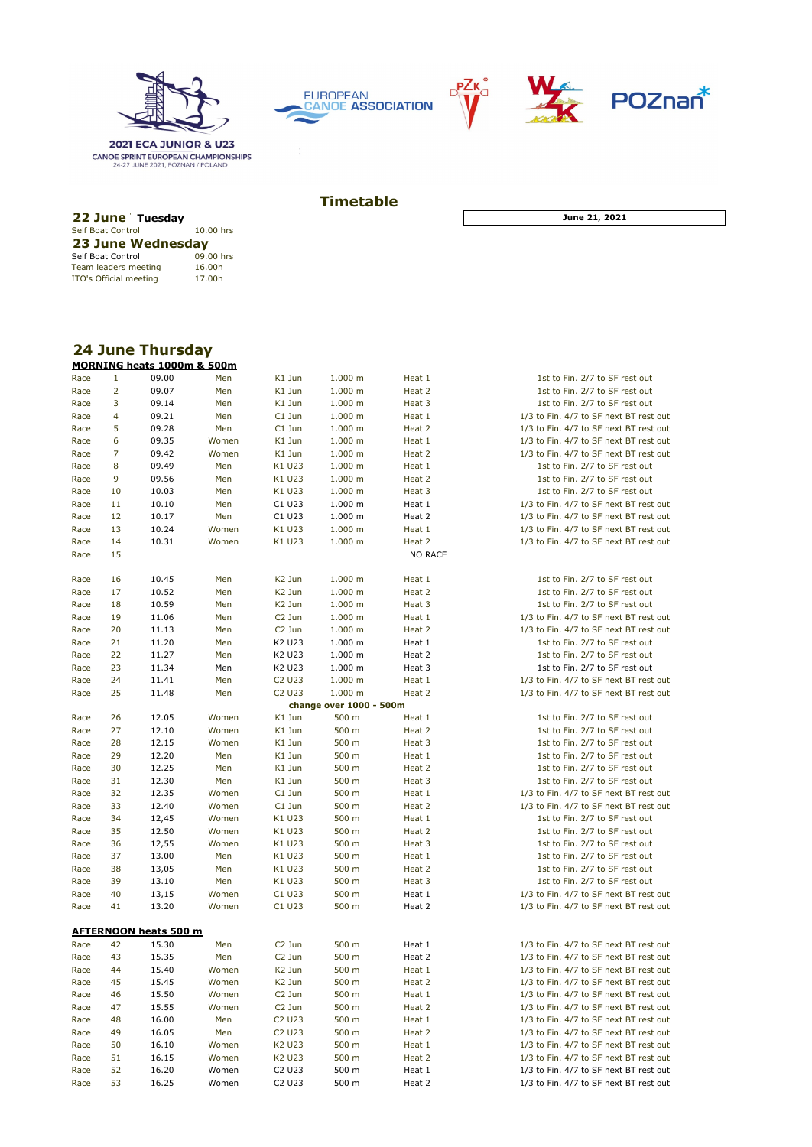

**2021 ECA JUNIOR & U23 CANOE SPRINT EUROPEAN CHAMPIONSHIPS**<br>24-27 JUNE 2021, POZNAN / POLAND

Self Boat Control **10.00 hrs**<br>**23 June Wednesday** 

Team leaders meeting to the 16.00h<br>ITO's Official meeting to 17.00h

Self Boat Control 09.00 hrs<br>Team leaders meeting 16.00h

Team leaders meeting





## **22 June Tuesday 10.00 hrs <b>23 June 10.00 hrs <b>21,** 2021 **Timetable**

| <b>24 June Thursday</b> |  |
|-------------------------|--|

|      |                | ZT JUNG THUI SUAY<br>MORNING heats 1000m & 500m |       |                                |                         |                |                                        |
|------|----------------|-------------------------------------------------|-------|--------------------------------|-------------------------|----------------|----------------------------------------|
| Race | $\mathbf{1}$   | 09.00                                           | Men   | K1 Jun                         | 1.000 m                 | Heat 1         | 1st to Fin. 2/7 to SF rest out         |
| Race | $\overline{2}$ | 09.07                                           | Men   | K1 Jun                         | 1.000 m                 | Heat 2         | 1st to Fin. 2/7 to SF rest out         |
| Race | 3              | 09.14                                           | Men   | K1 Jun                         | 1.000 m                 | Heat 3         | 1st to Fin. 2/7 to SF rest out         |
| Race | 4              | 09.21                                           | Men   | C1 Jun                         | 1.000 m                 | Heat 1         | 1/3 to Fin. 4/7 to SF next BT rest out |
| Race | 5              | 09.28                                           | Men   | C1 Jun                         | 1.000 m                 | Heat 2         | 1/3 to Fin. 4/7 to SF next BT rest out |
| Race | 6              | 09.35                                           | Women | K1 Jun                         | 1.000 m                 | Heat 1         | 1/3 to Fin. 4/7 to SF next BT rest out |
| Race | $\overline{7}$ | 09.42                                           | Women | K1 Jun                         | 1.000 m                 | Heat 2         | 1/3 to Fin. 4/7 to SF next BT rest out |
| Race | 8              | 09.49                                           | Men   | K1 U23                         | 1.000 m                 | Heat 1         | 1st to Fin. 2/7 to SF rest out         |
| Race | 9              | 09.56                                           | Men   | K1 U23                         | 1.000 m                 | Heat 2         | 1st to Fin. 2/7 to SF rest out         |
| Race | 10             | 10.03                                           | Men   | K1 U23                         | 1.000 m                 | Heat 3         | 1st to Fin. 2/7 to SF rest out         |
| Race | 11             | 10.10                                           | Men   | C1 U23                         | 1.000 m                 | Heat 1         | 1/3 to Fin. 4/7 to SF next BT rest out |
| Race | 12             |                                                 |       | C1 U23                         | 1.000 m                 | Heat 2         | 1/3 to Fin. 4/7 to SF next BT rest out |
|      |                | 10.17                                           | Men   |                                |                         |                |                                        |
| Race | 13             | 10.24                                           | Women | K1 U23                         | 1.000 m                 | Heat 1         | 1/3 to Fin. 4/7 to SF next BT rest out |
| Race | 14             | 10.31                                           | Women | K1 U23                         | 1.000 m                 | Heat 2         | 1/3 to Fin. 4/7 to SF next BT rest out |
| Race | 15             |                                                 |       |                                |                         | <b>NO RACE</b> |                                        |
| Race | 16             | 10.45                                           | Men   | K <sub>2</sub> Jun             | 1.000 m                 | Heat 1         | 1st to Fin. 2/7 to SF rest out         |
| Race | 17             | 10.52                                           | Men   | K2 Jun                         | 1.000 m                 | Heat 2         | 1st to Fin. 2/7 to SF rest out         |
| Race | 18             | 10.59                                           | Men   | K <sub>2</sub> Jun             | 1.000 m                 | Heat 3         | 1st to Fin. 2/7 to SF rest out         |
| Race | 19             | 11.06                                           | Men   | C <sub>2</sub> Jun             | 1.000 m                 | Heat 1         | 1/3 to Fin. 4/7 to SF next BT rest out |
| Race | 20             | 11.13                                           | Men   | C <sub>2</sub> Jun             | 1.000 m                 | Heat 2         | 1/3 to Fin. 4/7 to SF next BT rest out |
| Race | 21             | 11.20                                           | Men   | K2 U23                         | 1.000 m                 | Heat 1         | 1st to Fin. 2/7 to SF rest out         |
| Race | 22             | 11.27                                           | Men   | K2 U23                         | 1.000 m                 | Heat 2         | 1st to Fin. 2/7 to SF rest out         |
| Race | 23             | 11.34                                           | Men   | K2 U23                         | $1.000 \; m$            | Heat 3         | 1st to Fin. 2/7 to SF rest out         |
| Race | 24             | 11.41                                           | Men   | C <sub>2</sub> U <sub>23</sub> | 1.000 m                 | Heat 1         | 1/3 to Fin. 4/7 to SF next BT rest out |
| Race | 25             | 11.48                                           | Men   | C <sub>2</sub> U <sub>23</sub> | 1.000 m                 | Heat 2         | 1/3 to Fin. 4/7 to SF next BT rest out |
|      |                |                                                 |       |                                | change over 1000 - 500m |                |                                        |
| Race | 26             | 12.05                                           | Women | K1 Jun                         | 500 m                   | Heat 1         | 1st to Fin. 2/7 to SF rest out         |
| Race | 27             | 12.10                                           | Women | K1 Jun                         | 500 m                   | Heat 2         | 1st to Fin. 2/7 to SF rest out         |
| Race | 28             | 12.15                                           | Women | K1 Jun                         | 500 m                   | Heat 3         | 1st to Fin. 2/7 to SF rest out         |
| Race | 29             | 12.20                                           | Men   | K1 Jun                         | 500 m                   | Heat 1         | 1st to Fin. 2/7 to SF rest out         |
| Race | 30             | 12.25                                           | Men   | K1 Jun                         | 500 m                   | Heat 2         | 1st to Fin. 2/7 to SF rest out         |
| Race | 31             | 12.30                                           | Men   | K1 Jun                         | 500 m                   | Heat 3         | 1st to Fin. 2/7 to SF rest out         |
| Race | 32             | 12.35                                           | Women | C1 Jun                         | 500 m                   | Heat 1         | 1/3 to Fin. 4/7 to SF next BT rest out |
| Race | 33             | 12.40                                           | Women | C1 Jun                         | 500 m                   | Heat 2         | 1/3 to Fin. 4/7 to SF next BT rest out |
| Race | 34             | 12,45                                           | Women | K1 U23                         | 500 m                   | Heat 1         | 1st to Fin. 2/7 to SF rest out         |
| Race | 35             | 12.50                                           | Women | K1 U23                         | 500 m                   | Heat 2         | 1st to Fin. 2/7 to SF rest out         |
| Race | 36             | 12,55                                           | Women | K1 U23                         | 500 m                   | Heat 3         | 1st to Fin. 2/7 to SF rest out         |
| Race | 37             | 13.00                                           | Men   | K1 U23                         | 500 m                   | Heat 1         | 1st to Fin. 2/7 to SF rest out         |
| Race | 38             | 13,05                                           | Men   | K1 U23                         | 500 m                   | Heat 2         | 1st to Fin. 2/7 to SF rest out         |
| Race | 39             | 13.10                                           | Men   | K1 U23                         | 500 m                   | Heat 3         | 1st to Fin. 2/7 to SF rest out         |
| Race | 40             | 13,15                                           | Women | C <sub>1</sub> U <sub>23</sub> | 500 m                   | Heat 1         | 1/3 to Fin. 4/7 to SF next BT rest out |
| Race | 41             | 13.20                                           | Women | C1 U23                         | 500 m                   | Heat 2         | 1/3 to Fin. 4/7 to SF next BT rest out |
|      |                |                                                 |       |                                |                         |                |                                        |
| Race | 42             | <u>AFTERNOON heats 500 m</u><br>15.30           | Men   | C <sub>2</sub> Jun             | 500 m                   | Heat 1         | 1/3 to Fin. 4/7 to SF next BT rest out |
| Race | 43             | 15.35                                           | Men   | C <sub>2</sub> Jun             | 500 m                   | Heat 2         | 1/3 to Fin. 4/7 to SF next BT rest out |
|      |                |                                                 |       |                                |                         |                |                                        |
| Race | 44             | 15.40                                           | Women | K <sub>2</sub> Jun             | 500 m                   | Heat 1         | 1/3 to Fin. 4/7 to SF next BT rest out |
| Race | 45             | 15.45                                           | Women | K2 Jun                         | 500 m                   | Heat 2         | 1/3 to Fin. 4/7 to SF next BT rest out |
| Race | 46             | 15.50                                           | Women | C <sub>2</sub> Jun             | 500 m                   | Heat 1         | 1/3 to Fin. 4/7 to SF next BT rest out |
| Race | 47             | 15.55                                           | Women | C <sub>2</sub> Jun             | 500 m                   | Heat 2         | 1/3 to Fin. 4/7 to SF next BT rest out |
| Race | 48             | 16.00                                           | Men   | C <sub>2</sub> U <sub>23</sub> | 500 m                   | Heat 1         | 1/3 to Fin. 4/7 to SF next BT rest out |
| Race | 49             | 16.05                                           | Men   | C <sub>2</sub> U <sub>23</sub> | 500 m                   | Heat 2         | 1/3 to Fin. 4/7 to SF next BT rest out |
| Race | 50             | 16.10                                           | Women | K2 U23                         | 500 m                   | Heat 1         | 1/3 to Fin. 4/7 to SF next BT rest out |
| Race | 51             | 16.15                                           | Women | K2 U23                         | 500 m                   | Heat 2         | 1/3 to Fin. 4/7 to SF next BT rest out |
| Race | 52             | 16.20                                           | Women | C <sub>2</sub> U <sub>23</sub> | 500 m                   | Heat 1         | 1/3 to Fin. 4/7 to SF next BT rest out |
| Race | 53             | 16.25                                           | Women | C <sub>2</sub> U <sub>23</sub> | 500 m                   | Heat 2         | 1/3 to Fin. 4/7 to SF next BT rest out |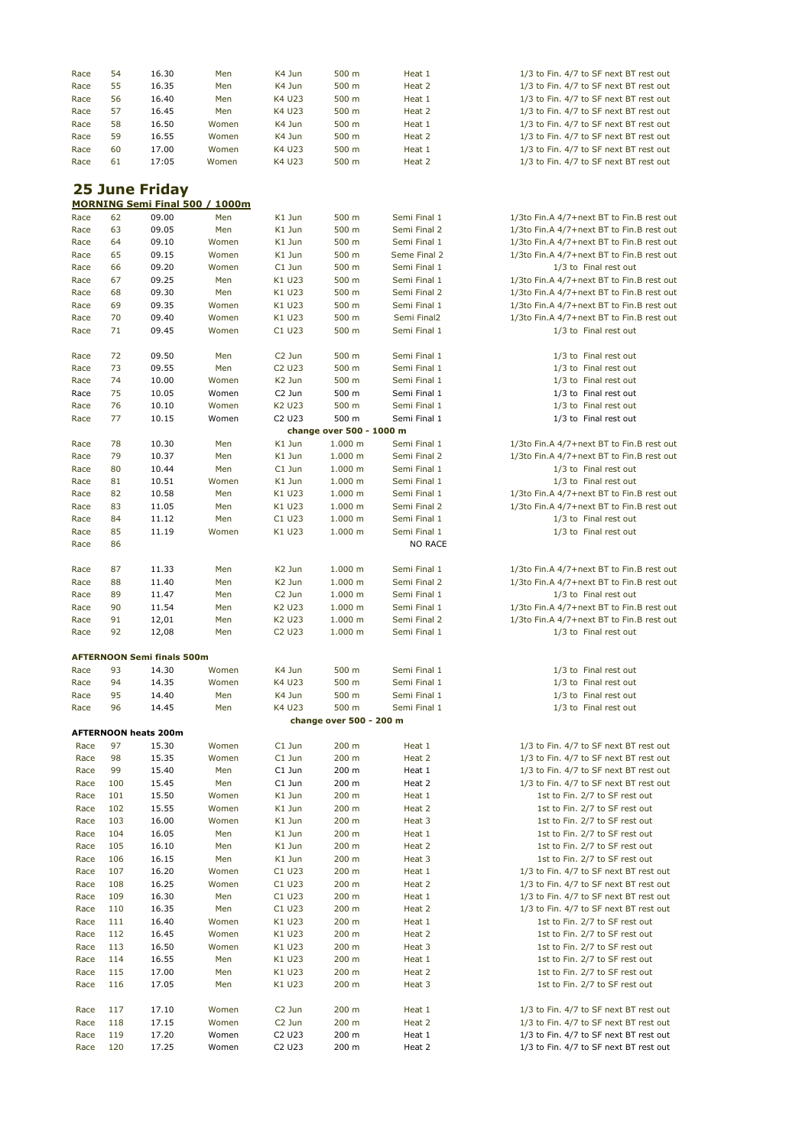| Race                  | 54  | 16.30                             | Men                            | K4 Jun                         | 500 m                    | Heat 1         | 1/3 to Fin. 4/7 to SF next BT rest out    |  |  |  |
|-----------------------|-----|-----------------------------------|--------------------------------|--------------------------------|--------------------------|----------------|-------------------------------------------|--|--|--|
|                       | 55  | 16.35                             | Men                            | K4 Jun                         | 500 m                    | Heat 2         | 1/3 to Fin. 4/7 to SF next BT rest out    |  |  |  |
| Race                  | 56  |                                   |                                | K4 U23                         |                          |                |                                           |  |  |  |
| Race                  |     | 16.40                             | Men                            |                                | 500 m                    | Heat 1         | 1/3 to Fin. 4/7 to SF next BT rest out    |  |  |  |
| Race                  | 57  | 16.45                             | Men                            | K4 U23                         | 500 m                    | Heat 2         | 1/3 to Fin. 4/7 to SF next BT rest out    |  |  |  |
| Race                  | 58  | 16.50                             | Women                          | K4 Jun                         | 500 m                    | Heat 1         | 1/3 to Fin. 4/7 to SF next BT rest out    |  |  |  |
| Race                  | 59  | 16.55                             | Women                          | K4 Jun                         | 500 m                    | Heat 2         | 1/3 to Fin. 4/7 to SF next BT rest out    |  |  |  |
| Race                  | 60  | 17.00                             | Women                          | K4 U23                         | 500 m                    | Heat 1         | 1/3 to Fin. 4/7 to SF next BT rest out    |  |  |  |
| Race                  | 61  | 17:05                             | Women                          | K4 U23                         | 500 m                    | Heat 2         | 1/3 to Fin. 4/7 to SF next BT rest out    |  |  |  |
|                       |     |                                   |                                |                                |                          |                |                                           |  |  |  |
| <b>25 June Friday</b> |     |                                   |                                |                                |                          |                |                                           |  |  |  |
|                       |     |                                   | MORNING Semi Final 500 / 1000m |                                |                          |                |                                           |  |  |  |
| Race                  | 62  | 09.00                             | Men                            | K1 Jun                         | 500 m                    | Semi Final 1   | 1/3to Fin.A 4/7+next BT to Fin.B rest out |  |  |  |
| Race                  | 63  | 09.05                             | Men                            | K1 Jun                         | 500 m                    | Semi Final 2   | 1/3to Fin.A 4/7+next BT to Fin.B rest out |  |  |  |
| Race                  | 64  | 09.10                             | Women                          | K1 Jun                         | 500 m                    | Semi Final 1   | 1/3to Fin.A 4/7+next BT to Fin.B rest out |  |  |  |
| Race                  | 65  | 09.15                             | Women                          | K1 Jun                         | 500 m                    | Seme Final 2   | 1/3to Fin.A 4/7+next BT to Fin.B rest out |  |  |  |
| Race                  | 66  | 09.20                             | Women                          | C1 Jun                         | 500 m                    | Semi Final 1   | 1/3 to Final rest out                     |  |  |  |
| Race                  | 67  | 09.25                             | Men                            | K1 U23                         | 500 m                    | Semi Final 1   | 1/3to Fin.A 4/7+next BT to Fin.B rest out |  |  |  |
| Race                  | 68  | 09.30                             | Men                            | K1 U23                         | 500 m                    | Semi Final 2   | 1/3to Fin.A 4/7+next BT to Fin.B rest out |  |  |  |
| Race                  | 69  | 09.35                             | Women                          | K1 U23                         | 500 m                    | Semi Final 1   | 1/3to Fin.A 4/7+next BT to Fin.B rest out |  |  |  |
| Race                  | 70  | 09.40                             | Women                          | K1 U23                         | 500 m                    | Semi Final2    | 1/3to Fin.A 4/7+next BT to Fin.B rest out |  |  |  |
| Race                  | 71  | 09.45                             | Women                          | C1 U23                         | 500 m                    | Semi Final 1   | 1/3 to Final rest out                     |  |  |  |
|                       |     |                                   |                                |                                |                          |                |                                           |  |  |  |
| Race                  | 72  | 09.50                             | Men                            | C <sub>2</sub> Jun             | 500 m                    | Semi Final 1   | 1/3 to Final rest out                     |  |  |  |
| Race                  | 73  | 09.55                             | Men                            | C2 U23                         | 500 m                    | Semi Final 1   | 1/3 to Final rest out                     |  |  |  |
| Race                  | 74  | 10.00                             | Women                          | K <sub>2</sub> Jun             | 500 m                    | Semi Final 1   | 1/3 to Final rest out                     |  |  |  |
| Race                  | 75  | 10.05                             | Women                          | C <sub>2</sub> Jun             | 500 m                    | Semi Final 1   | 1/3 to Final rest out                     |  |  |  |
| Race                  | 76  | 10.10                             | Women                          | K2 U23                         | 500 m                    | Semi Final 1   | 1/3 to Final rest out                     |  |  |  |
| Race                  | 77  | 10.15                             | Women                          | C <sub>2</sub> U <sub>23</sub> | 500 m                    | Semi Final 1   | 1/3 to Final rest out                     |  |  |  |
|                       |     |                                   |                                |                                | change over 500 - 1000 m |                |                                           |  |  |  |
| Race                  | 78  | 10.30                             | Men                            | K1 Jun                         | 1.000 m                  | Semi Final 1   | 1/3to Fin.A 4/7+next BT to Fin.B rest out |  |  |  |
| Race                  | 79  | 10.37                             | Men                            | K1 Jun                         | 1.000 m                  | Semi Final 2   | 1/3to Fin.A 4/7+next BT to Fin.B rest out |  |  |  |
|                       | 80  |                                   |                                |                                |                          |                |                                           |  |  |  |
| Race                  |     | 10.44                             | Men                            | C1 Jun                         | 1.000 m                  | Semi Final 1   | 1/3 to Final rest out                     |  |  |  |
| Race                  | 81  | 10.51                             | Women                          | K1 Jun                         | 1.000 m                  | Semi Final 1   | 1/3 to Final rest out                     |  |  |  |
| Race                  | 82  | 10.58                             | Men                            | K1 U23                         | 1.000 m                  | Semi Final 1   | 1/3to Fin.A 4/7+next BT to Fin.B rest out |  |  |  |
| Race                  | 83  | 11.05                             | Men                            | K1 U23                         | 1.000 m                  | Semi Final 2   | 1/3to Fin.A 4/7+next BT to Fin.B rest out |  |  |  |
| Race                  | 84  | 11.12                             | Men                            | C1 U23                         | 1.000 m                  | Semi Final 1   | 1/3 to Final rest out                     |  |  |  |
| Race                  | 85  | 11.19                             | Women                          | K1 U23                         | 1.000 m                  | Semi Final 1   | 1/3 to Final rest out                     |  |  |  |
| Race                  | 86  |                                   |                                |                                |                          | <b>NO RACE</b> |                                           |  |  |  |
|                       |     |                                   |                                |                                |                          |                |                                           |  |  |  |
| Race                  | 87  | 11.33                             | Men                            | K <sub>2</sub> Jun             | 1.000 m                  | Semi Final 1   | 1/3to Fin.A 4/7+next BT to Fin.B rest out |  |  |  |
| Race                  | 88  | 11.40                             | Men                            | K <sub>2</sub> Jun             | 1.000 m                  | Semi Final 2   | 1/3to Fin.A 4/7+next BT to Fin.B rest out |  |  |  |
| Race                  | 89  | 11.47                             | Men                            | C <sub>2</sub> Jun             | 1.000 m                  | Semi Final 1   | 1/3 to Final rest out                     |  |  |  |
| Race                  | 90  | 11.54                             | Men                            | K <sub>2</sub> U <sub>23</sub> | 1.000 m                  | Semi Final 1   | 1/3to Fin.A 4/7+next BT to Fin.B rest out |  |  |  |
| Race                  | 91  | 12,01                             | Men                            | K <sub>2</sub> U <sub>23</sub> | 1.000 m                  | Semi Final 2   | 1/3to Fin.A 4/7+next BT to Fin.B rest out |  |  |  |
| Race                  | 92  | 12,08                             | Men                            | C2 U23                         | 1.000 m                  | Semi Final 1   | 1/3 to Final rest out                     |  |  |  |
|                       |     |                                   |                                |                                |                          |                |                                           |  |  |  |
|                       |     | <b>AFTERNOON Semi finals 500m</b> |                                |                                |                          |                |                                           |  |  |  |
| Race                  | 93  | 14.30                             | Women                          | K4 Jun                         | 500 m                    | Semi Final 1   | 1/3 to Final rest out                     |  |  |  |
| Race                  | 94  | 14.35                             | Women                          | K4 U23                         | 500 m                    | Semi Final 1   | 1/3 to Final rest out                     |  |  |  |
| Race                  | 95  | 14.40                             | Men                            | K4 Jun                         | 500 m                    | Semi Final 1   | 1/3 to Final rest out                     |  |  |  |
| Race                  | 96  | 14.45                             | Men                            | K4 U23                         | 500 m                    | Semi Final 1   | 1/3 to Final rest out                     |  |  |  |
|                       |     |                                   |                                |                                | change over 500 - 200 m  |                |                                           |  |  |  |
|                       |     | <b>AFTERNOON heats 200m</b>       |                                |                                |                          |                |                                           |  |  |  |
| Race                  | 97  | 15.30                             | Women                          | C1 Jun                         | 200 m                    | Heat 1         | 1/3 to Fin. 4/7 to SF next BT rest out    |  |  |  |
| Race                  | 98  | 15.35                             | Women                          | C1 Jun                         | 200 m                    | Heat 2         | 1/3 to Fin. 4/7 to SF next BT rest out    |  |  |  |
| Race                  | 99  | 15.40                             | Men                            | C1 Jun                         | 200 m                    | Heat 1         | 1/3 to Fin. 4/7 to SF next BT rest out    |  |  |  |
| Race                  | 100 | 15.45                             | Men                            | C1 Jun                         | 200 m                    | Heat 2         | 1/3 to Fin. 4/7 to SF next BT rest out    |  |  |  |
| Race                  | 101 | 15.50                             | Women                          | K1 Jun                         | $200 \text{ m}$          | Heat 1         | 1st to Fin. 2/7 to SF rest out            |  |  |  |
| Race                  | 102 | 15.55                             | Women                          | K1 Jun                         | 200 m                    | Heat 2         | 1st to Fin. 2/7 to SF rest out            |  |  |  |
| Race                  | 103 | 16.00                             | Women                          | K1 Jun                         | 200 m                    | Heat 3         | 1st to Fin. 2/7 to SF rest out            |  |  |  |
| Race                  | 104 | 16.05                             | Men                            | K1 Jun                         | 200 m                    | Heat 1         | 1st to Fin. 2/7 to SF rest out            |  |  |  |
| Race                  | 105 | 16.10                             | Men                            | K1 Jun                         | 200 m                    | Heat 2         | 1st to Fin. 2/7 to SF rest out            |  |  |  |
| Race                  | 106 | 16.15                             | Men                            | K1 Jun                         | $200 \text{ m}$          | Heat 3         | 1st to Fin. 2/7 to SF rest out            |  |  |  |
| Race                  | 107 | 16.20                             | Women                          | C1 U23                         | 200 m                    | Heat 1         | 1/3 to Fin. 4/7 to SF next BT rest out    |  |  |  |
| Race                  | 108 | 16.25                             | Women                          | C1 U23                         | 200 m                    | Heat 2         | 1/3 to Fin. 4/7 to SF next BT rest out    |  |  |  |
| Race                  | 109 | 16.30                             | Men                            | C1 U23                         | 200 m                    | Heat 1         | 1/3 to Fin. 4/7 to SF next BT rest out    |  |  |  |
| Race                  | 110 | 16.35                             | Men                            | C1 U23                         | 200 m                    | Heat 2         | 1/3 to Fin. 4/7 to SF next BT rest out    |  |  |  |
| Race                  | 111 | 16.40                             | Women                          | K1 U23                         | 200 <sub>m</sub>         | Heat 1         | 1st to Fin. 2/7 to SF rest out            |  |  |  |
| Race                  | 112 | 16.45                             | Women                          | K1 U23                         | $200 \text{ m}$          | Heat 2         | 1st to Fin. 2/7 to SF rest out            |  |  |  |
| Race                  | 113 | 16.50                             | Women                          | K1 U23                         | 200 m                    | Heat 3         | 1st to Fin. 2/7 to SF rest out            |  |  |  |
| Race                  | 114 | 16.55                             | Men                            | K1 U23                         | $200 \text{ m}$          | Heat 1         | 1st to Fin. 2/7 to SF rest out            |  |  |  |
| Race                  | 115 | 17.00                             | Men                            | K1 U23                         | 200 m                    | Heat 2         | 1st to Fin. 2/7 to SF rest out            |  |  |  |
| Race                  | 116 | 17.05                             | Men                            | K1 U23                         | 200 m                    | Heat 3         | 1st to Fin. 2/7 to SF rest out            |  |  |  |
|                       |     |                                   |                                |                                |                          |                |                                           |  |  |  |
| Race                  | 117 | 17.10                             | Women                          | C <sub>2</sub> Jun             | $200 \text{ m}$          | Heat 1         | 1/3 to Fin. 4/7 to SF next BT rest out    |  |  |  |
| Race                  | 118 | 17.15                             | Women                          | C <sub>2</sub> Jun             | $200 \text{ m}$          | Heat 2         | 1/3 to Fin. 4/7 to SF next BT rest out    |  |  |  |
| Race                  | 119 | 17.20                             | Women                          | C2 U23                         | 200 m                    | Heat 1         | 1/3 to Fin. 4/7 to SF next BT rest out    |  |  |  |
| Race                  | 120 | 17.25                             | Women                          | C2 U23                         | 200 m                    | Heat 2         | 1/3 to Fin. 4/7 to SF next BT rest out    |  |  |  |
|                       |     |                                   |                                |                                |                          |                |                                           |  |  |  |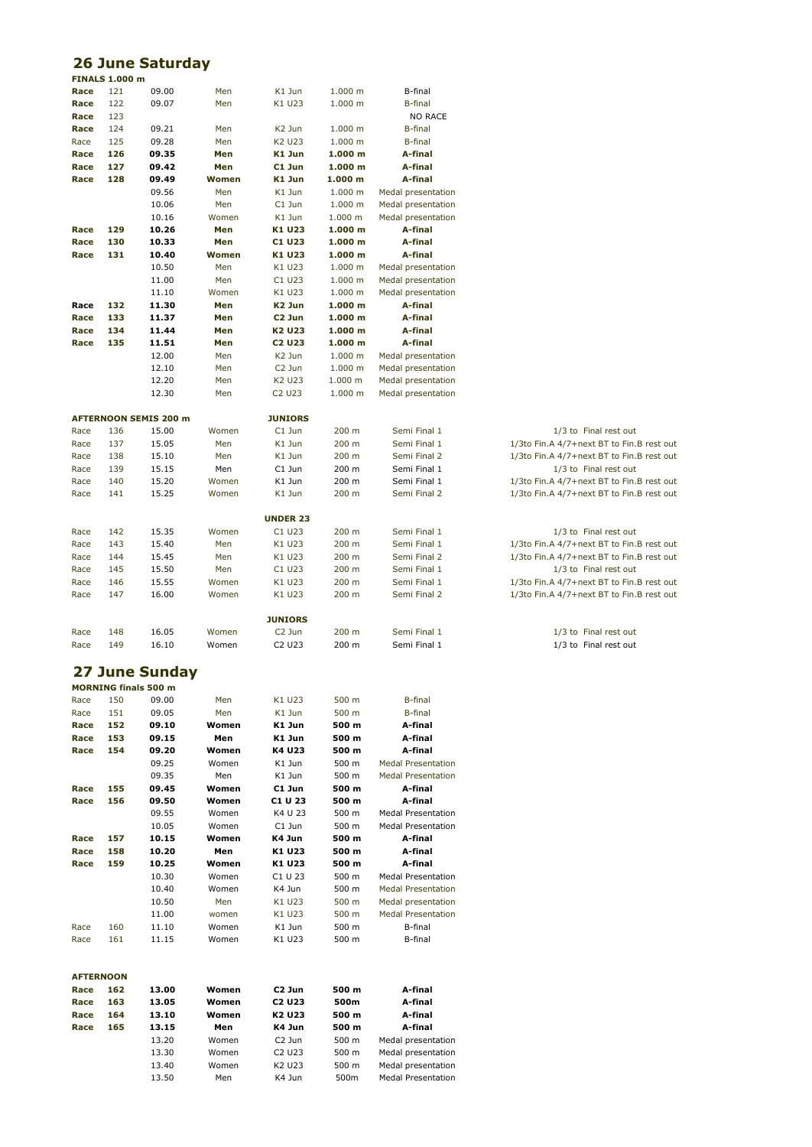|                  |                       | <b>26 June Saturday</b>      |                |                                |                    |                               |                                                                                        |
|------------------|-----------------------|------------------------------|----------------|--------------------------------|--------------------|-------------------------------|----------------------------------------------------------------------------------------|
|                  | <b>FINALS 1.000 m</b> |                              |                |                                |                    |                               |                                                                                        |
| Race<br>Race     | 121<br>122            | 09.00<br>09.07               | Men<br>Men     | K1 Jun<br>K1 U23               | 1.000 m<br>1.000 m | B-final<br><b>B-final</b>     |                                                                                        |
| Race             | 123                   |                              |                |                                |                    | <b>NO RACE</b>                |                                                                                        |
| Race             | 124                   | 09.21                        | Men            | K <sub>2</sub> Jun             | 1.000 m            | <b>B-final</b>                |                                                                                        |
| Race             | 125                   | 09.28                        | Men            | K2 U23                         | 1.000 m            | <b>B-final</b>                |                                                                                        |
| Race             | 126                   | 09.35                        | Men            | K1 Jun                         | 1.000 m            | A-final                       |                                                                                        |
| Race             | 127                   | 09.42                        | Men            | C1 Jun                         | 1.000 m            | A-final                       |                                                                                        |
| Race             | 128                   | 09.49                        | Women          | K1 Jun                         | 1.000 m            | A-final                       |                                                                                        |
|                  |                       | 09.56                        | Men            | K1 Jun                         | 1.000 m            | Medal presentation            |                                                                                        |
|                  |                       | 10.06                        | Men            | C1 Jun                         | 1.000 m            | Medal presentation            |                                                                                        |
|                  |                       | 10.16                        | Women          | K1 Jun                         | 1.000 m            | Medal presentation            |                                                                                        |
| Race             | 129                   | 10.26                        | Men            | K1 U23                         | 1.000 m            | A-final                       |                                                                                        |
| Race             | 130                   | 10.33                        | Men            | C1 U23                         | 1.000 m            | A-final                       |                                                                                        |
| Race             | 131                   | 10.40<br>10.50               | Women<br>Men   | K1 U23<br>K1 U23               | 1.000 m<br>1.000 m | A-final<br>Medal presentation |                                                                                        |
|                  |                       | 11.00                        | Men            | C1 U23                         | 1.000 m            | Medal presentation            |                                                                                        |
|                  |                       | 11.10                        | Women          | K1 U23                         | 1.000 m            | Medal presentation            |                                                                                        |
| Race             | 132                   | 11.30                        | Men            | K <sub>2</sub> Jun             | 1.000 m            | A-final                       |                                                                                        |
| Race             | 133                   | 11.37                        | Men            | C <sub>2</sub> Jun             | 1.000 m            | A-final                       |                                                                                        |
| Race             | 134                   | 11.44                        | Men            | K <sub>2</sub> U <sub>23</sub> | 1.000 m            | A-final                       |                                                                                        |
| Race             | 135                   | 11.51                        | Men            | <b>C2 U23</b>                  | 1.000 m            | A-final                       |                                                                                        |
|                  |                       | 12.00                        | Men            | K <sub>2</sub> Jun             | 1.000 m            | Medal presentation            |                                                                                        |
|                  |                       | 12.10                        | Men            | C <sub>2</sub> Jun             | 1.000 m            | Medal presentation            |                                                                                        |
|                  |                       | 12.20                        | Men            | K2 U23                         | 1.000 m            | Medal presentation            |                                                                                        |
|                  |                       | 12.30                        | Men            | C <sub>2</sub> U <sub>23</sub> | 1.000 m            | Medal presentation            |                                                                                        |
|                  |                       |                              |                |                                |                    |                               |                                                                                        |
|                  |                       | <b>AFTERNOON SEMIS 200 m</b> |                | <b>JUNIORS</b>                 |                    |                               |                                                                                        |
| Race             | 136                   | 15.00                        | Women          | C1 Jun                         | 200 m              | Semi Final 1                  | 1/3 to Final rest out                                                                  |
| Race<br>Race     | 137<br>138            | 15.05<br>15.10               | Men<br>Men     | K1 Jun<br>K1 Jun               | 200 m<br>200 m     | Semi Final 1<br>Semi Final 2  | 1/3to Fin.A 4/7+next BT to Fin.B rest out<br>1/3to Fin.A 4/7+next BT to Fin.B rest out |
| Race             | 139                   | 15.15                        | Men            | C1 Jun                         | 200 m              | Semi Final 1                  | 1/3 to Final rest out                                                                  |
| Race             | 140                   | 15.20                        | Women          | K1 Jun                         | 200 m              | Semi Final 1                  | 1/3to Fin.A 4/7+next BT to Fin.B rest out                                              |
| Race             | 141                   | 15.25                        | Women          | K1 Jun                         | 200 m              | Semi Final 2                  | 1/3to Fin.A 4/7+next BT to Fin.B rest out                                              |
|                  |                       |                              |                |                                |                    |                               |                                                                                        |
|                  |                       |                              |                | <b>UNDER 23</b>                |                    |                               |                                                                                        |
| Race             | 142                   | 15.35                        | Women          | C1 U23                         | 200 <sub>m</sub>   | Semi Final 1                  | 1/3 to Final rest out                                                                  |
| Race             | 143                   | 15.40                        | Men            | K1 U23                         | 200 m              | Semi Final 1                  | 1/3to Fin.A 4/7+next BT to Fin.B rest out                                              |
| Race             | 144                   | 15.45                        | Men            | K1 U23                         | 200 <sub>m</sub>   | Semi Final 2                  | 1/3to Fin.A 4/7+next BT to Fin.B rest out                                              |
| Race             | 145                   | 15.50                        | Men            | C1 U23                         | 200 m              | Semi Final 1                  | 1/3 to Final rest out                                                                  |
| Race             | 146                   | 15.55                        | Women          | K1 U23                         | 200 m              | Semi Final 1                  | 1/3to Fin.A 4/7+next BT to Fin.B rest out                                              |
| Race             | 147                   | 16.00                        | Women          | K1 U23                         | 200 m              | Semi Final 2                  | 1/3to Fin.A 4/7+next BT to Fin.B rest out                                              |
|                  |                       |                              |                | <b>JUNIORS</b>                 |                    |                               |                                                                                        |
| Race             | 148                   | 16.05                        | Women          | C <sub>2</sub> Jun             | 200 m              | Semi Final 1                  | 1/3 to Final rest out                                                                  |
| Race             | 149                   | 16.10                        | Women          | C <sub>2</sub> U <sub>23</sub> | 200 m              | Semi Final 1                  | 1/3 to Final rest out                                                                  |
|                  |                       |                              |                |                                |                    |                               |                                                                                        |
|                  |                       | <b>27 June Sunday</b>        |                |                                |                    |                               |                                                                                        |
|                  |                       | <b>MORNING finals 500 m</b>  |                |                                |                    |                               |                                                                                        |
| Race             | 150                   | 09.00                        | Men            | K1 U23                         | 500 m              | <b>B-final</b>                |                                                                                        |
| Race             | 151                   | 09.05                        | Men            | K1 Jun                         | 500 m              | <b>B-final</b>                |                                                                                        |
| Race             | 152                   | 09.10                        | Women          | K1 Jun                         | 500 m              | A-final                       |                                                                                        |
| Race             | 153                   | 09.15                        | Men            | K1 Jun                         | 500 m              | A-final                       |                                                                                        |
| Race             | 154                   | 09.20                        | Women          | K4 U23                         | 500 m              | A-final                       |                                                                                        |
|                  |                       | 09.25                        | Women          | K1 Jun                         | 500 m              | <b>Medal Presentation</b>     |                                                                                        |
|                  |                       | 09.35                        | Men            | K1 Jun                         | 500 m              | <b>Medal Presentation</b>     |                                                                                        |
| Race<br>Race     | 155<br>156            | 09.45<br>09.50               | Women<br>Women | C1 Jun<br>C1 U 23              | 500 m<br>500 m     | A-final<br>A-final            |                                                                                        |
|                  |                       | 09.55                        | Women          | K4 U 23                        | 500 m              | <b>Medal Presentation</b>     |                                                                                        |
|                  |                       | 10.05                        | Women          | C1 Jun                         | 500 m              | <b>Medal Presentation</b>     |                                                                                        |
| Race             | 157                   | 10.15                        | Women          | K4 Jun                         | 500 m              | A-final                       |                                                                                        |
| Race             | 158                   | 10.20                        | Men            | K1 U23                         | 500 m              | A-final                       |                                                                                        |
| Race             | 159                   | 10.25                        | Women          | K1 U23                         | 500 m              | A-final                       |                                                                                        |
|                  |                       | 10.30                        | Women          | C1 U 23                        | 500 m              | <b>Medal Presentation</b>     |                                                                                        |
|                  |                       | 10.40                        | Women          | K4 Jun                         | 500 m              | <b>Medal Presentation</b>     |                                                                                        |
|                  |                       | 10.50                        | Men            | K1 U23                         | 500 m              | Medal presentation            |                                                                                        |
|                  |                       | 11.00                        | women          | K1 U23                         | 500 m              | <b>Medal Presentation</b>     |                                                                                        |
| Race             | 160                   | 11.10                        | Women          | K1 Jun                         | 500 m              | B-final                       |                                                                                        |
| Race             | 161                   | 11.15                        | Women          | K1 U23                         | 500 m              | B-final                       |                                                                                        |
|                  |                       |                              |                |                                |                    |                               |                                                                                        |
| <b>AFTERNOON</b> |                       |                              |                |                                |                    |                               |                                                                                        |
| Race             | 162                   | 13.00                        | Women          | C <sub>2</sub> Jun             | 500 m              | A-final                       |                                                                                        |
| Race             | 163                   | 13.05                        | Women          | C <sub>2</sub> U <sub>23</sub> | 500m               | A-final                       |                                                                                        |
| Race             | 164                   | 13.10                        | Women          | K <sub>2</sub> U <sub>23</sub> | 500 m              | A-final                       |                                                                                        |
| Race             | 165                   | 13.15                        | Men            | K4 Jun                         | 500 m              | A-final                       |                                                                                        |
|                  |                       | 13.20                        | Women          | C <sub>2</sub> Jun             | 500 m              | Medal presentation            |                                                                                        |
|                  |                       | 13.30                        | Women          | C2 U23                         | 500 m              | Medal presentation            |                                                                                        |
|                  |                       | 13.40                        | Women          | K2 U23                         | 500 m              | Medal presentation            |                                                                                        |
|                  |                       | 13.50                        | Men            | K4 Jun                         | 500m               | <b>Medal Presentation</b>     |                                                                                        |